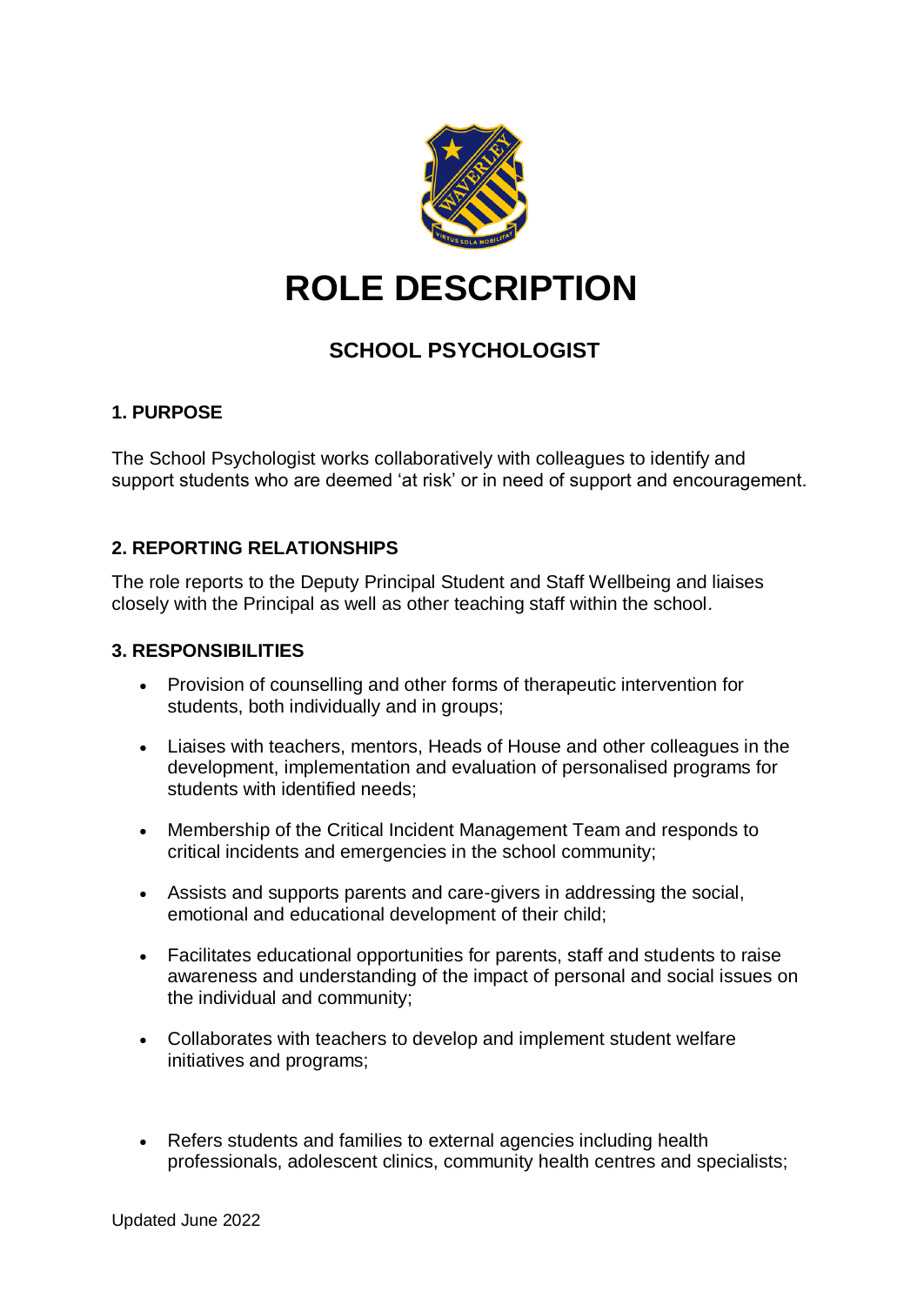

# **ROLE DESCRIPTION**

# **SCHOOL PSYCHOLOGIST**

# **1. PURPOSE**

The School Psychologist works collaboratively with colleagues to identify and support students who are deemed 'at risk' or in need of support and encouragement.

# **2. REPORTING RELATIONSHIPS**

The role reports to the Deputy Principal Student and Staff Wellbeing and liaises closely with the Principal as well as other teaching staff within the school.

#### **3. RESPONSIBILITIES**

- Provision of counselling and other forms of therapeutic intervention for students, both individually and in groups;
- Liaises with teachers, mentors, Heads of House and other colleagues in the development, implementation and evaluation of personalised programs for students with identified needs;
- Membership of the Critical Incident Management Team and responds to critical incidents and emergencies in the school community;
- Assists and supports parents and care-givers in addressing the social, emotional and educational development of their child;
- Facilitates educational opportunities for parents, staff and students to raise awareness and understanding of the impact of personal and social issues on the individual and community;
- Collaborates with teachers to develop and implement student welfare initiatives and programs;
- Refers students and families to external agencies including health professionals, adolescent clinics, community health centres and specialists;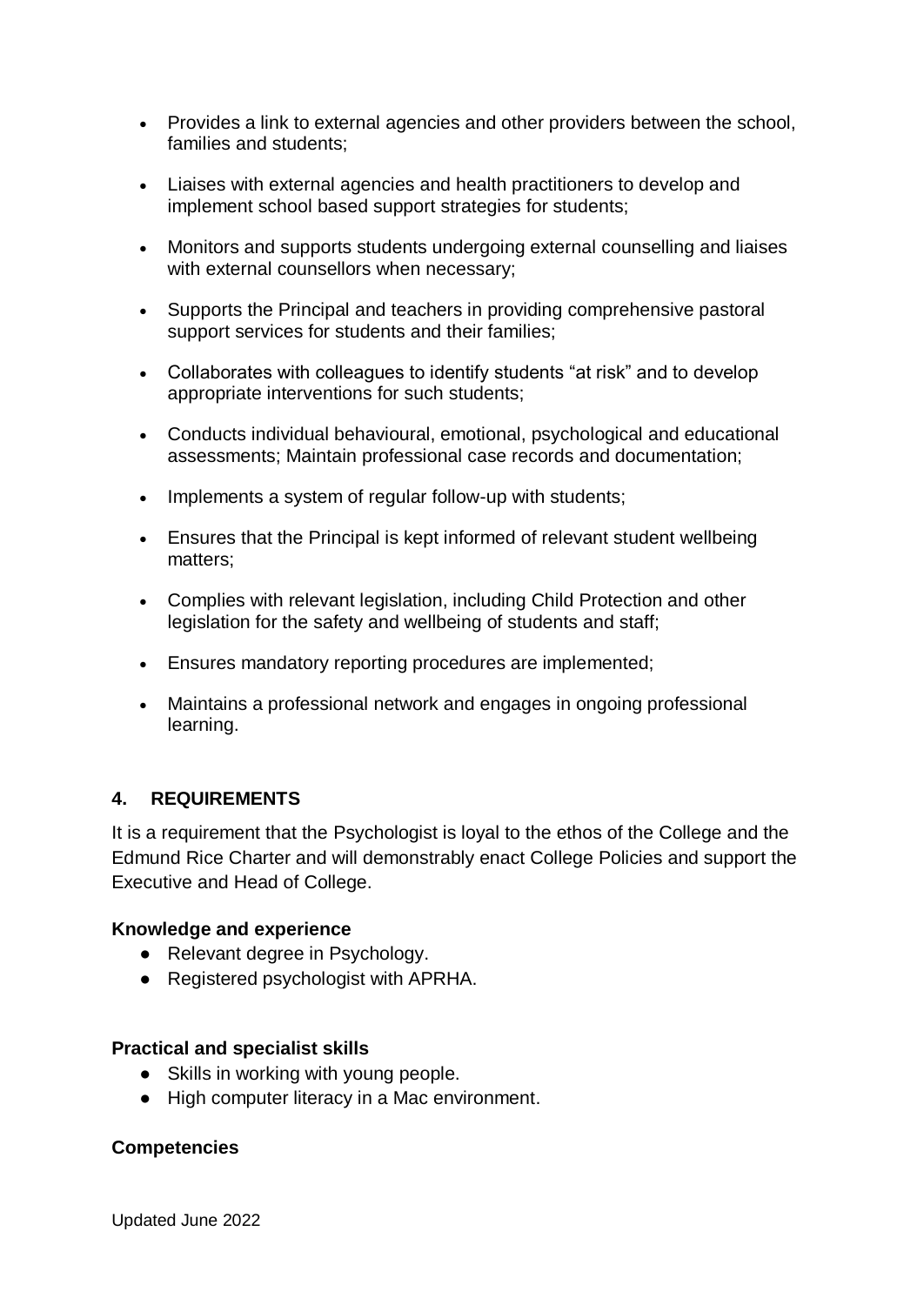- Provides a link to external agencies and other providers between the school, families and students;
- Liaises with external agencies and health practitioners to develop and implement school based support strategies for students;
- Monitors and supports students undergoing external counselling and liaises with external counsellors when necessary;
- Supports the Principal and teachers in providing comprehensive pastoral support services for students and their families;
- Collaborates with colleagues to identify students "at risk" and to develop appropriate interventions for such students;
- Conducts individual behavioural, emotional, psychological and educational assessments; Maintain professional case records and documentation;
- Implements a system of regular follow-up with students;
- Ensures that the Principal is kept informed of relevant student wellbeing matters;
- Complies with relevant legislation, including Child Protection and other legislation for the safety and wellbeing of students and staff;
- Ensures mandatory reporting procedures are implemented;
- Maintains a professional network and engages in ongoing professional learning.

# **4. REQUIREMENTS**

It is a requirement that the Psychologist is loyal to the ethos of the College and the Edmund Rice Charter and will demonstrably enact College Policies and support the Executive and Head of College.

#### **Knowledge and experience**

- Relevant degree in Psychology.
- Registered psychologist with APRHA.

#### **Practical and specialist skills**

- Skills in working with young people.
- High computer literacy in a Mac environment.

#### **Competencies**

Updated June 2022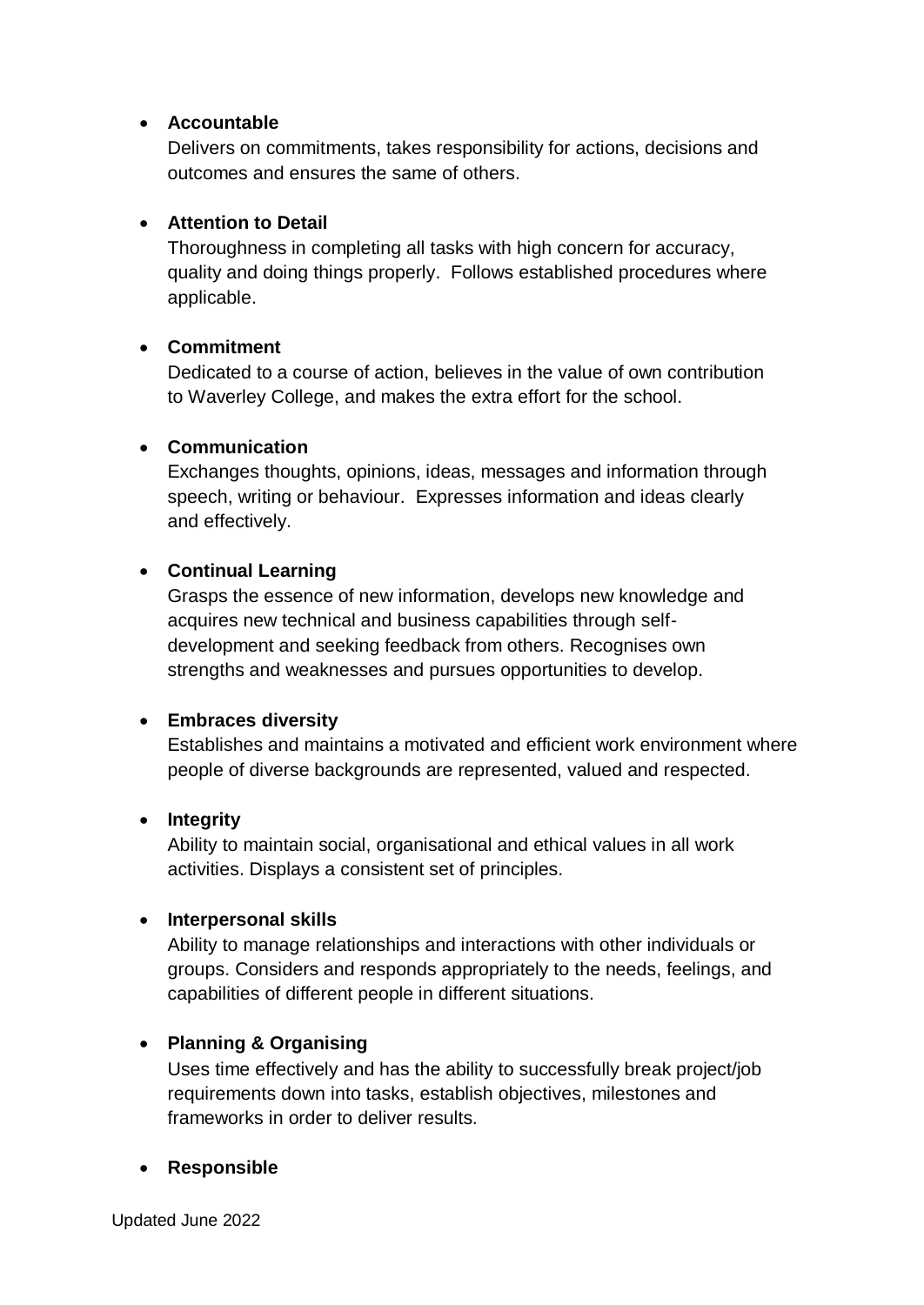#### **Accountable**

Delivers on commitments, takes responsibility for actions, decisions and outcomes and ensures the same of others.

# **Attention to Detail**

Thoroughness in completing all tasks with high concern for accuracy, quality and doing things properly. Follows established procedures where applicable.

# **Commitment**

Dedicated to a course of action, believes in the value of own contribution to Waverley College, and makes the extra effort for the school.

#### **Communication**

Exchanges thoughts, opinions, ideas, messages and information through speech, writing or behaviour. Expresses information and ideas clearly and effectively.

#### **Continual Learning**

Grasps the essence of new information, develops new knowledge and acquires new technical and business capabilities through selfdevelopment and seeking feedback from others. Recognises own strengths and weaknesses and pursues opportunities to develop.

# **Embraces diversity**

Establishes and maintains a motivated and efficient work environment where people of diverse backgrounds are represented, valued and respected.

#### **Integrity**

Ability to maintain social, organisational and ethical values in all work activities. Displays a consistent set of principles.

#### **Interpersonal skills**

Ability to manage relationships and interactions with other individuals or groups. Considers and responds appropriately to the needs, feelings, and capabilities of different people in different situations.

# **Planning & Organising**

Uses time effectively and has the ability to successfully break project/job requirements down into tasks, establish objectives, milestones and frameworks in order to deliver results.

# **Responsible**